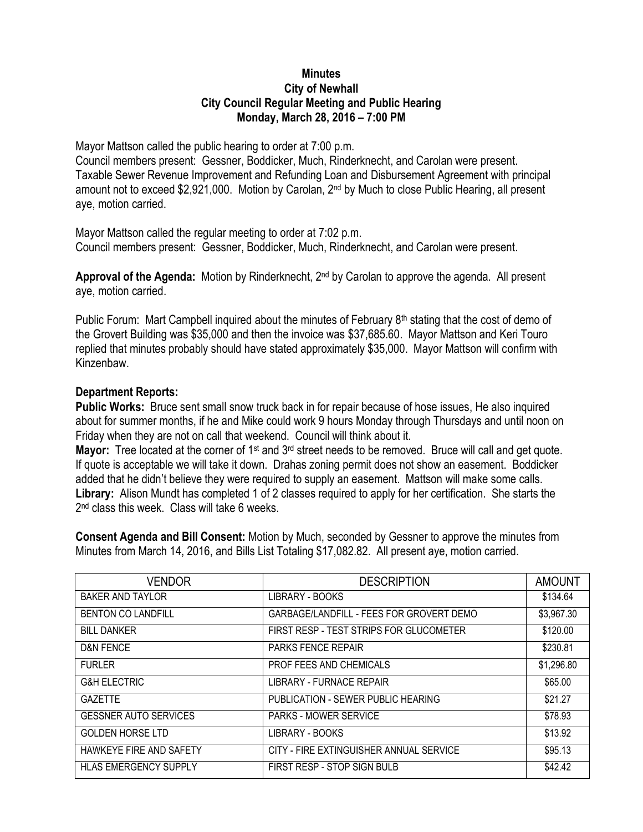## **Minutes City of Newhall City Council Regular Meeting and Public Hearing Monday, March 28, 2016 – 7:00 PM**

Mayor Mattson called the public hearing to order at 7:00 p.m.

Council members present: Gessner, Boddicker, Much, Rinderknecht, and Carolan were present. Taxable Sewer Revenue Improvement and Refunding Loan and Disbursement Agreement with principal amount not to exceed \$2,921,000. Motion by Carolan, 2nd by Much to close Public Hearing, all present aye, motion carried.

Mayor Mattson called the regular meeting to order at 7:02 p.m. Council members present: Gessner, Boddicker, Much, Rinderknecht, and Carolan were present.

**Approval of the Agenda:** Motion by Rinderknecht, 2nd by Carolan to approve the agenda. All present aye, motion carried.

Public Forum: Mart Campbell inquired about the minutes of February 8<sup>th</sup> stating that the cost of demo of the Grovert Building was \$35,000 and then the invoice was \$37,685.60. Mayor Mattson and Keri Touro replied that minutes probably should have stated approximately \$35,000. Mayor Mattson will confirm with Kinzenbaw.

## **Department Reports:**

**Public Works:** Bruce sent small snow truck back in for repair because of hose issues, He also inquired about for summer months, if he and Mike could work 9 hours Monday through Thursdays and until noon on Friday when they are not on call that weekend. Council will think about it.

**Mayor:** Tree located at the corner of 1<sup>st</sup> and 3<sup>rd</sup> street needs to be removed. Bruce will call and get quote. If quote is acceptable we will take it down. Drahas zoning permit does not show an easement. Boddicker added that he didn't believe they were required to supply an easement. Mattson will make some calls. **Library:** Alison Mundt has completed 1 of 2 classes required to apply for her certification. She starts the 2 nd class this week. Class will take 6 weeks.

**Consent Agenda and Bill Consent:** Motion by Much, seconded by Gessner to approve the minutes from Minutes from March 14, 2016, and Bills List Totaling \$17,082.82. All present aye, motion carried.

| <b>VENDOR</b>                | <b>DESCRIPTION</b>                       | <b>AMOUNT</b> |
|------------------------------|------------------------------------------|---------------|
| <b>BAKER AND TAYLOR</b>      | LIBRARY - BOOKS                          | \$134.64      |
| <b>BENTON CO LANDFILL</b>    | GARBAGE/LANDFILL - FEES FOR GROVERT DEMO | \$3,967.30    |
| <b>BILL DANKER</b>           | FIRST RESP - TEST STRIPS FOR GLUCOMETER  | \$120.00      |
| <b>D&amp;N FENCE</b>         | <b>PARKS FENCE REPAIR</b>                | \$230.81      |
| <b>FURLER</b>                | PROF FEES AND CHEMICALS                  | \$1,296.80    |
| <b>G&amp;H ELECTRIC</b>      | <b>LIBRARY - FURNACE REPAIR</b>          | \$65.00       |
| <b>GAZETTE</b>               | PUBLICATION - SEWER PUBLIC HEARING       | \$21.27       |
| <b>GESSNER AUTO SERVICES</b> | <b>PARKS - MOWER SERVICE</b>             | \$78.93       |
| <b>GOLDEN HORSE LTD</b>      | LIBRARY - BOOKS                          | \$13.92       |
| HAWKEYE FIRE AND SAFETY      | CITY - FIRE EXTINGUISHER ANNUAL SERVICE  | \$95.13       |
| <b>HLAS EMERGENCY SUPPLY</b> | FIRST RESP - STOP SIGN BULB              | \$42.42       |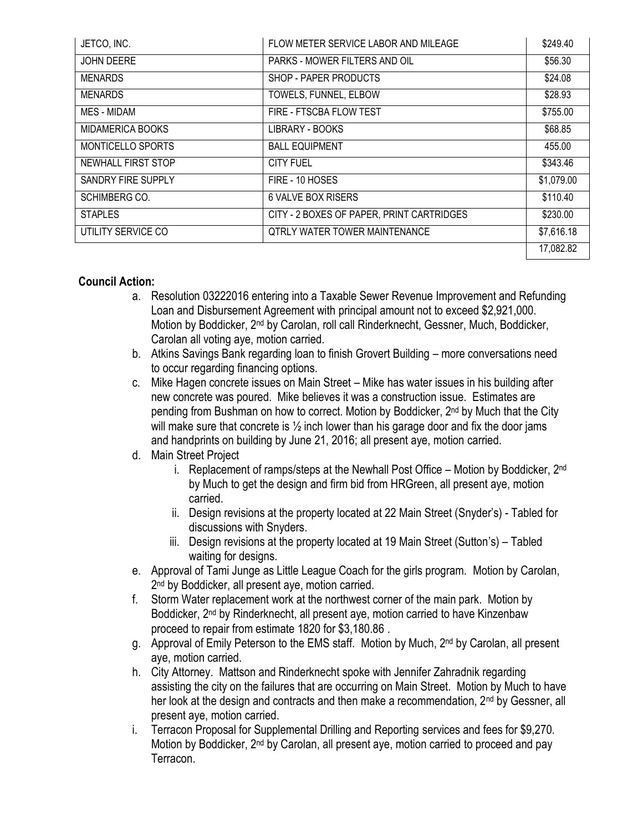| JETCO, INC.        | FLOW METER SERVICE LABOR AND MILEAGE      | \$249.40   |
|--------------------|-------------------------------------------|------------|
| <b>JOHN DEERE</b>  | PARKS - MOWER FILTERS AND OIL             | \$56.30    |
| <b>MENARDS</b>     | SHOP - PAPER PRODUCTS                     | \$24.08    |
| <b>MENARDS</b>     | TOWELS, FUNNEL, ELBOW                     | \$28.93    |
| MES - MIDAM        | FIRE - FTSCBA FLOW TEST                   | \$755.00   |
| MIDAMERICA BOOKS   | LIBRARY - BOOKS                           | \$68.85    |
| MONTICELLO SPORTS  | <b>BALL EQUIPMENT</b>                     | 455.00     |
| NEWHALL FIRST STOP | <b>CITY FUEL</b>                          | \$343.46   |
| SANDRY FIRE SUPPLY | FIRE - 10 HOSES                           | \$1,079.00 |
| SCHIMBERG CO.      | 6 VALVE BOX RISERS                        | \$110.40   |
| <b>STAPLES</b>     | CITY - 2 BOXES OF PAPER, PRINT CARTRIDGES | \$230.00   |
| UTILITY SERVICE CO | QTRLY WATER TOWER MAINTENANCE             | \$7,616.18 |
|                    |                                           | 17,082.82  |

## **Council Action:**

- a. Resolution 03222016 entering into a Taxable Sewer Revenue Improvement and Refunding Loan and Disbursement Agreement with principal amount not to exceed \$2,921,000. Motion by Boddicker, 2<sup>nd</sup> by Carolan, roll call Rinderknecht, Gessner, Much, Boddicker, Carolan all voting aye, motion carried.
- b. Atkins Savings Bank regarding loan to finish Grovert Building more conversations need to occur regarding financing options.
- c. Mike Hagen concrete issues on Main Street Mike has water issues in his building after new concrete was poured. Mike believes it was a construction issue. Estimates are pending from Bushman on how to correct. Motion by Boddicker, 2nd by Much that the City will make sure that concrete is  $\frac{1}{2}$  inch lower than his garage door and fix the door jams and handprints on building by June 21, 2016; all present aye, motion carried.
- d. Main Street Project
	- i. Replacement of ramps/steps at the Newhall Post Office Motion by Boddicker,  $2^{nd}$ by Much to get the design and firm bid from HRGreen, all present aye, motion carried.
	- ii. Design revisions at the property located at 22 Main Street (Snyder's) Tabled for discussions with Snyders.
	- iii. Design revisions at the property located at 19 Main Street (Sutton's) Tabled waiting for designs.
- e. Approval of Tami Junge as Little League Coach for the girls program. Motion by Carolan, 2<sup>nd</sup> by Boddicker, all present aye, motion carried.
- f. Storm Water replacement work at the northwest corner of the main park. Motion by Boddicker, 2nd by Rinderknecht, all present aye, motion carried to have Kinzenbaw proceed to repair from estimate 1820 for \$3,180.86 .
- g. Approval of Emily Peterson to the EMS staff. Motion by Much, 2nd by Carolan, all present aye, motion carried.
- h. City Attorney. Mattson and Rinderknecht spoke with Jennifer Zahradnik regarding assisting the city on the failures that are occurring on Main Street. Motion by Much to have her look at the design and contracts and then make a recommendation, 2<sup>nd</sup> by Gessner, all present aye, motion carried.
- i. Terracon Proposal for Supplemental Drilling and Reporting services and fees for \$9,270. Motion by Boddicker, 2<sup>nd</sup> by Carolan, all present aye, motion carried to proceed and pay Terracon.